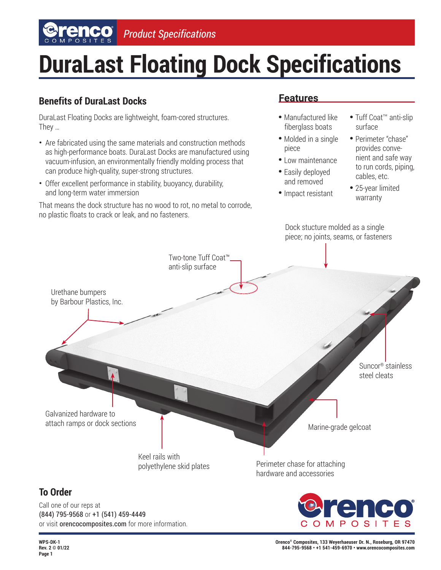# **DuraLast Floating Dock Specifications**

## **Benefits of DuraLast Docks**

DuraLast Floating Docks are lightweight, foam-cored structures. They …

- Are fabricated using the same materials and construction methods as high-performance boats. DuraLast Docks are manufactured using vacuum-infusion, an environmentally friendly molding process that can produce high-quality, super-strong structures.
- Offer excellent performance in stability, buoyancy, durability, and long-term water immersion

That means the dock structure has no wood to rot, no metal to corrode, no plastic floats to crack or leak, and no fasteners.

### **Features**

- ●  Manufactured like fiberglass boats
- Molded in a single piece
- Low maintenance
- Easily deployed and removed
- ●  Impact resistant
- Tuff Coat™ anti-slip surface
- Perimeter "chase" provides conve nient and safe way to run cords, piping, cables, etc.
- 25-year limited warranty

Dock stucture molded as a single piece; no joints, seams, or fasteners

**To Order** Two-tone Tuff Coat™ anti-slip surface Urethane bumpers by Barbour Plastics, Inc. Galvanized hardware to attach ramps or dock sections Keel rails with polyethylene skid plates Perimeter chase for attaching hardware and accessories Marine-grade gelcoat Suncor® stainless steel cleats